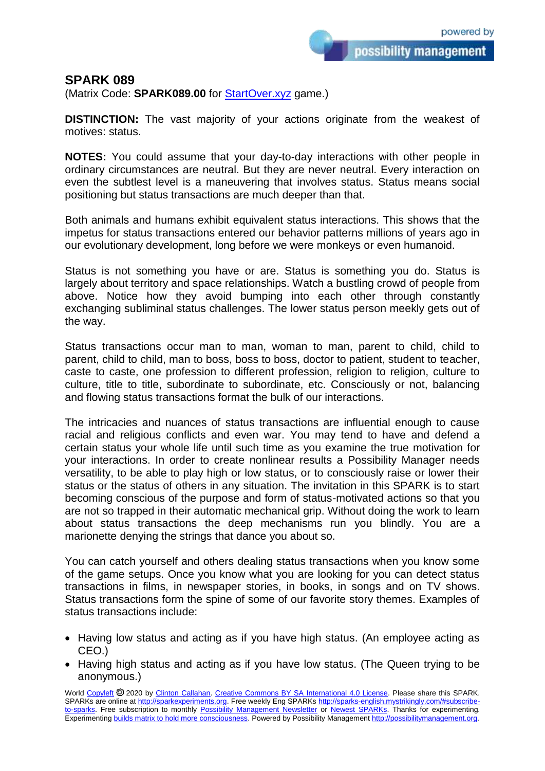possibility management

## **SPARK 089**

(Matrix Code: **SPARK089.00** for [StartOver.xyz](https://startoverxyz.mystrikingly.com/) game.)

**DISTINCTION:** The vast majority of your actions originate from the weakest of motives: status.

**NOTES:** You could assume that your day-to-day interactions with other people in ordinary circumstances are neutral. But they are never neutral. Every interaction on even the subtlest level is a maneuvering that involves status. Status means social positioning but status transactions are much deeper than that.

Both animals and humans exhibit equivalent status interactions. This shows that the impetus for status transactions entered our behavior patterns millions of years ago in our evolutionary development, long before we were monkeys or even humanoid.

Status is not something you have or are. Status is something you do. Status is largely about territory and space relationships. Watch a bustling crowd of people from above. Notice how they avoid bumping into each other through constantly exchanging subliminal status challenges. The lower status person meekly gets out of the way.

Status transactions occur man to man, woman to man, parent to child, child to parent, child to child, man to boss, boss to boss, doctor to patient, student to teacher, caste to caste, one profession to different profession, religion to religion, culture to culture, title to title, subordinate to subordinate, etc. Consciously or not, balancing and flowing status transactions format the bulk of our interactions.

The intricacies and nuances of status transactions are influential enough to cause racial and religious conflicts and even war. You may tend to have and defend a certain status your whole life until such time as you examine the true motivation for your interactions. In order to create nonlinear results a Possibility Manager needs versatility, to be able to play high or low status, or to consciously raise or lower their status or the status of others in any situation. The invitation in this SPARK is to start becoming conscious of the purpose and form of status-motivated actions so that you are not so trapped in their automatic mechanical grip. Without doing the work to learn about status transactions the deep mechanisms run you blindly. You are a marionette denying the strings that dance you about so.

You can catch yourself and others dealing status transactions when you know some of the game setups. Once you know what you are looking for you can detect status transactions in films, in newspaper stories, in books, in songs and on TV shows. Status transactions form the spine of some of our favorite story themes. Examples of status transactions include:

- Having low status and acting as if you have high status. (An employee acting as CEO.)
- Having high status and acting as if you have low status. (The Queen trying to be anonymous.)

World [Copyleft](https://en.wikipedia.org/wiki/Copyleft) @ 2020 by [Clinton Callahan.](http://clintoncallahan.mystrikingly.com/) [Creative Commons BY SA International 4.0 License.](https://creativecommons.org/licenses/by-sa/4.0/) Please share this SPARK. SPARKs are online at [http://sparkexperiments.org.](http://sparks-english.mystrikingly.com/) Free weekly Eng SPARKs [http://sparks-english.mystrikingly.com/#subscribe](http://sparks-english.mystrikingly.com/#subscribe-to-sparks)[to-sparks.](http://sparks-english.mystrikingly.com/#subscribe-to-sparks) Free subscription to monthly [Possibility Management Newsletter](https://possibilitymanagement.org/news/) or [Newest SPARKs.](https://www.clintoncallahan.org/newsletter-1) Thanks for experimenting. Experimentin[g builds matrix to hold more consciousness.](http://spaceport.mystrikingly.com/) Powered by Possibility Managemen[t http://possibilitymanagement.org.](http://possibilitymanagement.org/)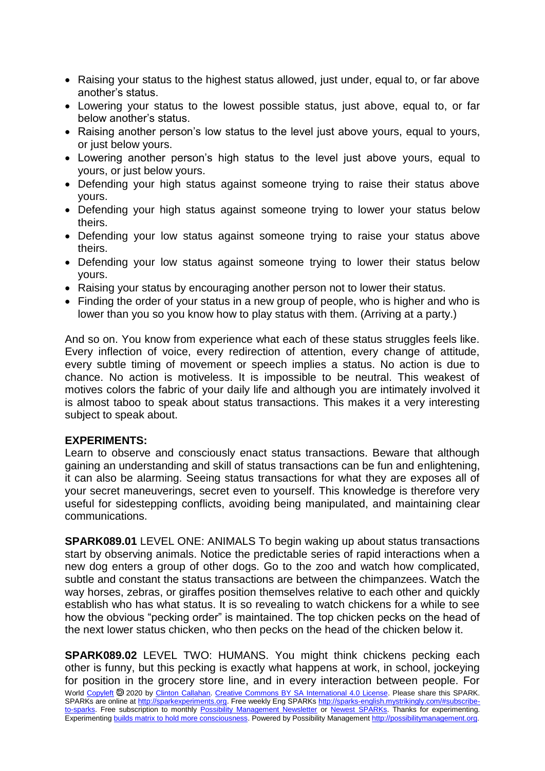- Raising your status to the highest status allowed, just under, equal to, or far above another's status.
- Lowering your status to the lowest possible status, just above, equal to, or far below another's status.
- Raising another person's low status to the level just above yours, equal to yours, or just below yours.
- Lowering another person's high status to the level just above vours, equal to yours, or just below yours.
- Defending your high status against someone trying to raise their status above yours.
- Defending your high status against someone trying to lower your status below theirs.
- Defending your low status against someone trying to raise your status above theirs.
- Defending your low status against someone trying to lower their status below yours.
- Raising your status by encouraging another person not to lower their status.
- Finding the order of your status in a new group of people, who is higher and who is lower than you so you know how to play status with them. (Arriving at a party.)

And so on. You know from experience what each of these status struggles feels like. Every inflection of voice, every redirection of attention, every change of attitude, every subtle timing of movement or speech implies a status. No action is due to chance. No action is motiveless. It is impossible to be neutral. This weakest of motives colors the fabric of your daily life and although you are intimately involved it is almost taboo to speak about status transactions. This makes it a very interesting subject to speak about.

## **EXPERIMENTS:**

Learn to observe and consciously enact status transactions. Beware that although gaining an understanding and skill of status transactions can be fun and enlightening, it can also be alarming. Seeing status transactions for what they are exposes all of your secret maneuverings, secret even to yourself. This knowledge is therefore very useful for sidestepping conflicts, avoiding being manipulated, and maintaining clear communications.

**SPARK089.01** LEVEL ONE: ANIMALS To begin waking up about status transactions start by observing animals. Notice the predictable series of rapid interactions when a new dog enters a group of other dogs. Go to the zoo and watch how complicated, subtle and constant the status transactions are between the chimpanzees. Watch the way horses, zebras, or giraffes position themselves relative to each other and quickly establish who has what status. It is so revealing to watch chickens for a while to see how the obvious "pecking order" is maintained. The top chicken pecks on the head of the next lower status chicken, who then pecks on the head of the chicken below it.

World [Copyleft](https://en.wikipedia.org/wiki/Copyleft) <sup>®</sup> 2020 by Clinton [Callahan.](http://clintoncallahan.mystrikingly.com/) [Creative Commons BY SA International 4.0 License.](https://creativecommons.org/licenses/by-sa/4.0/) Please share this SPARK. SPARKs are online at [http://sparkexperiments.org.](http://sparks-english.mystrikingly.com/) Free weekly Eng SPARKs [http://sparks-english.mystrikingly.com/#subscribe](http://sparks-english.mystrikingly.com/#subscribe-to-sparks)[to-sparks.](http://sparks-english.mystrikingly.com/#subscribe-to-sparks) Free subscription to monthly [Possibility Management Newsletter](https://possibilitymanagement.org/news/) or [Newest SPARKs.](https://www.clintoncallahan.org/newsletter-1) Thanks for experimenting. Experimentin[g builds matrix to hold more consciousness.](http://spaceport.mystrikingly.com/) Powered by Possibility Managemen[t http://possibilitymanagement.org.](http://possibilitymanagement.org/) **SPARK089.02** LEVEL TWO: HUMANS. You might think chickens pecking each other is funny, but this pecking is exactly what happens at work, in school, jockeying for position in the grocery store line, and in every interaction between people. For